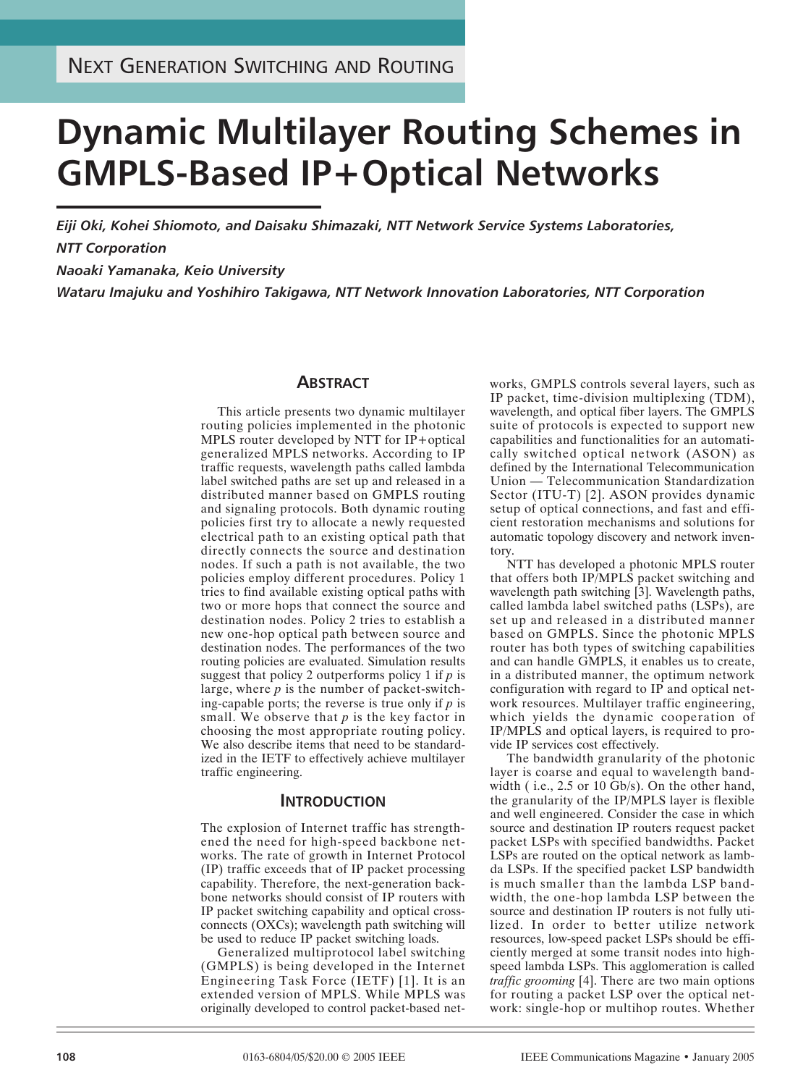# **Dynamic Multilayer Routing Schemes in GMPLS-Based IP+Optical Networks**

*Eiji Oki, Kohei Shiomoto, and Daisaku Shimazaki, NTT Network Service Systems Laboratories, NTT Corporation*

*Naoaki Yamanaka, Keio University*

*Wataru Imajuku and Yoshihiro Takigawa, NTT Network Innovation Laboratories, NTT Corporation*

## **ABSTRACT**

This article presents two dynamic multilayer routing policies implemented in the photonic MPLS router developed by NTT for IP+optical generalized MPLS networks. According to IP traffic requests, wavelength paths called lambda label switched paths are set up and released in a distributed manner based on GMPLS routing and signaling protocols. Both dynamic routing policies first try to allocate a newly requested electrical path to an existing optical path that directly connects the source and destination nodes. If such a path is not available, the two policies employ different procedures. Policy 1 tries to find available existing optical paths with two or more hops that connect the source and destination nodes. Policy 2 tries to establish a new one-hop optical path between source and destination nodes. The performances of the two routing policies are evaluated. Simulation results suggest that policy 2 outperforms policy 1 if *p* is large, where *p* is the number of packet-switching-capable ports; the reverse is true only if *p* is small. We observe that *p* is the key factor in choosing the most appropriate routing policy. We also describe items that need to be standardized in the IETF to effectively achieve multilayer traffic engineering.

## **INTRODUCTION**

The explosion of Internet traffic has strengthened the need for high-speed backbone networks. The rate of growth in Internet Protocol (IP) traffic exceeds that of IP packet processing capability. Therefore, the next-generation backbone networks should consist of IP routers with IP packet switching capability and optical crossconnects (OXCs); wavelength path switching will be used to reduce IP packet switching loads.

Generalized multiprotocol label switching (GMPLS) is being developed in the Internet Engineering Task Force (IETF) [1]. It is an extended version of MPLS. While MPLS was originally developed to control packet-based networks, GMPLS controls several layers, such as IP packet, time-division multiplexing (TDM), wavelength, and optical fiber layers. The GMPLS suite of protocols is expected to support new capabilities and functionalities for an automatically switched optical network (ASON) as defined by the International Telecommunication Union — Telecommunication Standardization Sector (ITU-T) [2]. ASON provides dynamic setup of optical connections, and fast and efficient restoration mechanisms and solutions for automatic topology discovery and network inventory.

NTT has developed a photonic MPLS router that offers both IP/MPLS packet switching and wavelength path switching [3]. Wavelength paths, called lambda label switched paths (LSPs), are set up and released in a distributed manner based on GMPLS. Since the photonic MPLS router has both types of switching capabilities and can handle GMPLS, it enables us to create, in a distributed manner, the optimum network configuration with regard to IP and optical network resources. Multilayer traffic engineering, which yields the dynamic cooperation of IP/MPLS and optical layers, is required to provide IP services cost effectively.

The bandwidth granularity of the photonic layer is coarse and equal to wavelength bandwidth ( i.e., 2.5 or 10 Gb/s). On the other hand, the granularity of the IP/MPLS layer is flexible and well engineered. Consider the case in which source and destination IP routers request packet packet LSPs with specified bandwidths. Packet LSPs are routed on the optical network as lambda LSPs. If the specified packet LSP bandwidth is much smaller than the lambda LSP bandwidth, the one-hop lambda LSP between the source and destination IP routers is not fully utilized. In order to better utilize network resources, low-speed packet LSPs should be efficiently merged at some transit nodes into highspeed lambda LSPs. This agglomeration is called *traffic grooming* [4]. There are two main options for routing a packet LSP over the optical network: single-hop or multihop routes. Whether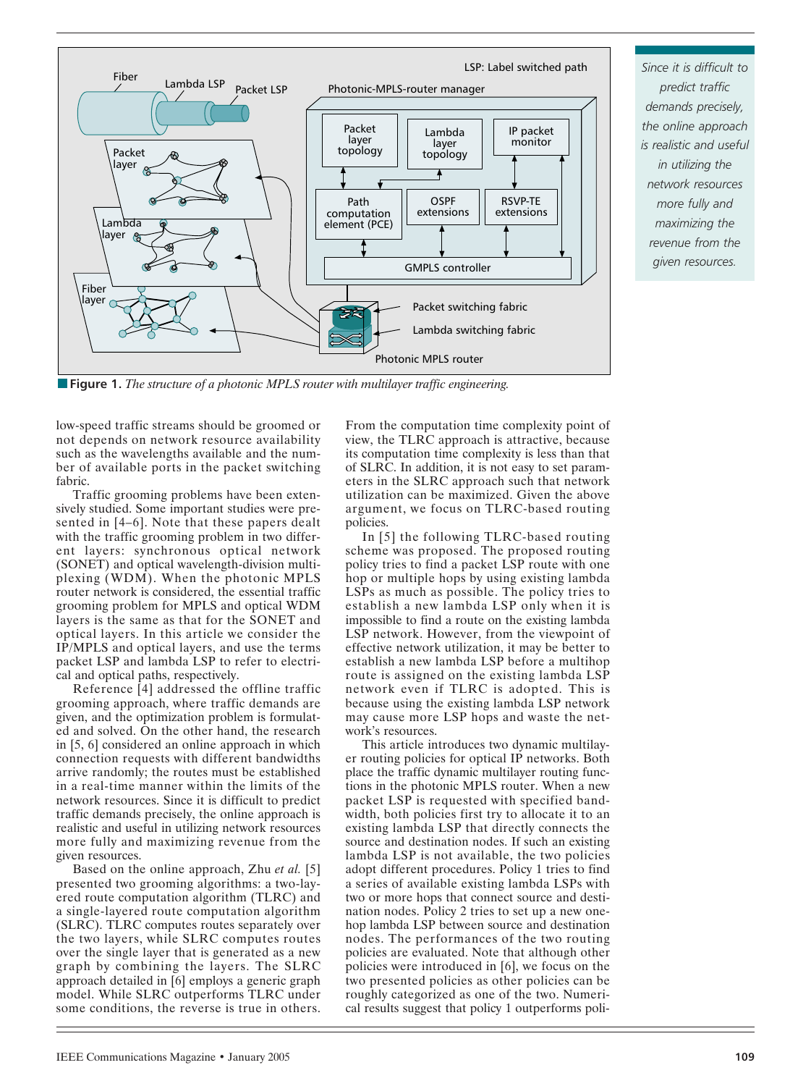

*Since it is difficult to predict traffic demands precisely, the online approach is realistic and useful in utilizing the network resources more fully and maximizing the revenue from the given resources.*

n **Figure 1.** *The structure of a photonic MPLS router with multilayer traffic engineering.*

low-speed traffic streams should be groomed or not depends on network resource availability such as the wavelengths available and the number of available ports in the packet switching fabric.

Traffic grooming problems have been extensively studied. Some important studies were presented in [4–6]. Note that these papers dealt with the traffic grooming problem in two different layers: synchronous optical network (SONET) and optical wavelength-division multiplexing (WDM). When the photonic MPLS router network is considered, the essential traffic grooming problem for MPLS and optical WDM layers is the same as that for the SONET and optical layers. In this article we consider the IP/MPLS and optical layers, and use the terms packet LSP and lambda LSP to refer to electrical and optical paths, respectively.

Reference [4] addressed the offline traffic grooming approach, where traffic demands are given, and the optimization problem is formulated and solved. On the other hand, the research in [5, 6] considered an online approach in which connection requests with different bandwidths arrive randomly; the routes must be established in a real-time manner within the limits of the network resources. Since it is difficult to predict traffic demands precisely, the online approach is realistic and useful in utilizing network resources more fully and maximizing revenue from the given resources.

Based on the online approach, Zhu *et al.* [5] presented two grooming algorithms: a two-layered route computation algorithm (TLRC) and a single-layered route computation algorithm (SLRC). TLRC computes routes separately over the two layers, while SLRC computes routes over the single layer that is generated as a new graph by combining the layers. The SLRC approach detailed in [6] employs a generic graph model. While SLRC outperforms TLRC under some conditions, the reverse is true in others.

From the computation time complexity point of view, the TLRC approach is attractive, because its computation time complexity is less than that of SLRC. In addition, it is not easy to set parameters in the SLRC approach such that network utilization can be maximized. Given the above argument, we focus on TLRC-based routing policies.

In [5] the following TLRC-based routing scheme was proposed. The proposed routing policy tries to find a packet LSP route with one hop or multiple hops by using existing lambda LSPs as much as possible. The policy tries to establish a new lambda LSP only when it is impossible to find a route on the existing lambda LSP network. However, from the viewpoint of effective network utilization, it may be better to establish a new lambda LSP before a multihop route is assigned on the existing lambda LSP network even if TLRC is adopted. This is because using the existing lambda LSP network may cause more LSP hops and waste the network's resources.

This article introduces two dynamic multilayer routing policies for optical IP networks. Both place the traffic dynamic multilayer routing functions in the photonic MPLS router. When a new packet LSP is requested with specified bandwidth, both policies first try to allocate it to an existing lambda LSP that directly connects the source and destination nodes. If such an existing lambda LSP is not available, the two policies adopt different procedures. Policy 1 tries to find a series of available existing lambda LSPs with two or more hops that connect source and destination nodes. Policy 2 tries to set up a new onehop lambda LSP between source and destination nodes. The performances of the two routing policies are evaluated. Note that although other policies were introduced in [6], we focus on the two presented policies as other policies can be roughly categorized as one of the two. Numerical results suggest that policy 1 outperforms poli-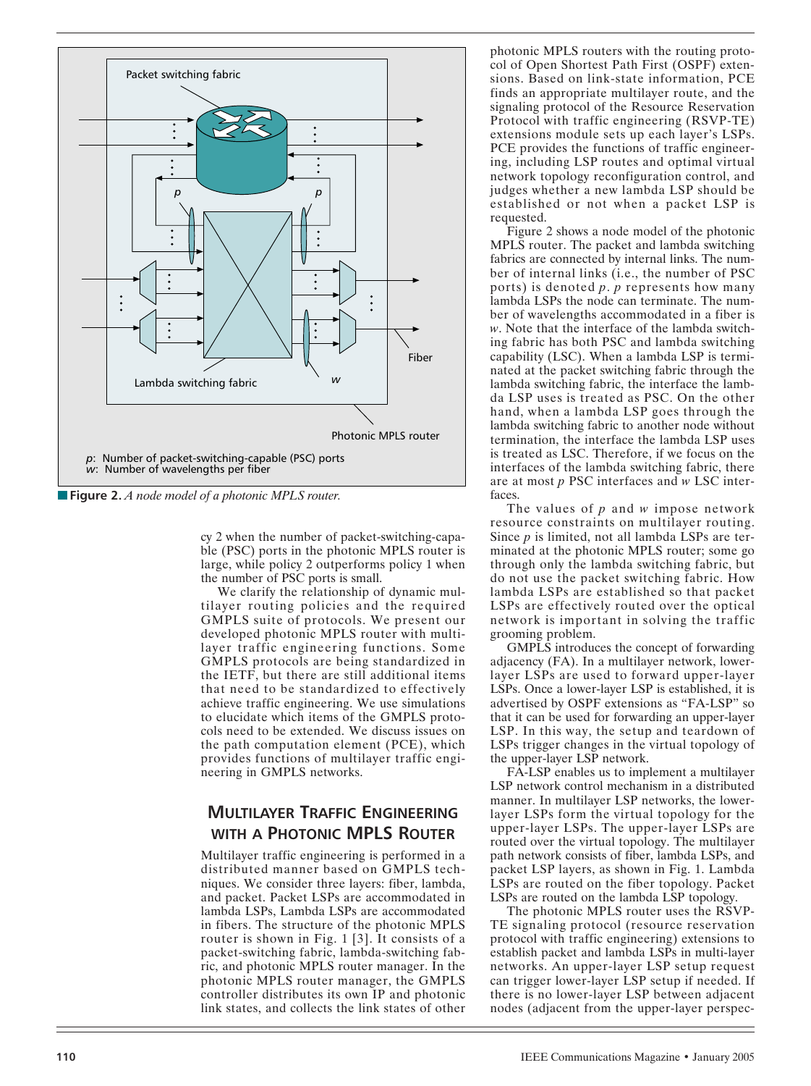

■ **Figure 2.** *A node model of a photonic MPLS router.* 

cy 2 when the number of packet-switching-capable (PSC) ports in the photonic MPLS router is large, while policy 2 outperforms policy 1 when the number of PSC ports is small.

We clarify the relationship of dynamic multilayer routing policies and the required GMPLS suite of protocols. We present our developed photonic MPLS router with multilayer traffic engineering functions. Some GMPLS protocols are being standardized in the IETF, but there are still additional items that need to be standardized to effectively achieve traffic engineering. We use simulations to elucidate which items of the GMPLS protocols need to be extended. We discuss issues on the path computation element (PCE), which provides functions of multilayer traffic engineering in GMPLS networks.

# **MULTILAYER TRAFFIC ENGINEERING WITH A PHOTONIC MPLS ROUTER**

Multilayer traffic engineering is performed in a distributed manner based on GMPLS techniques. We consider three layers: fiber, lambda, and packet. Packet LSPs are accommodated in lambda LSPs, Lambda LSPs are accommodated in fibers. The structure of the photonic MPLS router is shown in Fig. 1 [3]. It consists of a packet-switching fabric, lambda-switching fabric, and photonic MPLS router manager. In the photonic MPLS router manager, the GMPLS controller distributes its own IP and photonic link states, and collects the link states of other photonic MPLS routers with the routing protocol of Open Shortest Path First (OSPF) extensions. Based on link-state information, PCE finds an appropriate multilayer route, and the signaling protocol of the Resource Reservation Protocol with traffic engineering (RSVP-TE) extensions module sets up each layer's LSPs. PCE provides the functions of traffic engineering, including LSP routes and optimal virtual network topology reconfiguration control, and judges whether a new lambda LSP should be established or not when a packet LSP is requested.

Figure 2 shows a node model of the photonic MPLS router. The packet and lambda switching fabrics are connected by internal links. The number of internal links (i.e., the number of PSC ports) is denoted *p*. *p* represents how many lambda LSPs the node can terminate. The number of wavelengths accommodated in a fiber is *w*. Note that the interface of the lambda switching fabric has both PSC and lambda switching capability (LSC). When a lambda LSP is terminated at the packet switching fabric through the lambda switching fabric, the interface the lambda LSP uses is treated as PSC. On the other hand, when a lambda LSP goes through the lambda switching fabric to another node without termination, the interface the lambda LSP uses is treated as LSC. Therefore, if we focus on the interfaces of the lambda switching fabric, there are at most *p* PSC interfaces and *w* LSC interfaces.

The values of *p* and *w* impose network resource constraints on multilayer routing. Since *p* is limited, not all lambda LSPs are terminated at the photonic MPLS router; some go through only the lambda switching fabric, but do not use the packet switching fabric. How lambda LSPs are established so that packet LSPs are effectively routed over the optical network is important in solving the traffic grooming problem.

GMPLS introduces the concept of forwarding adjacency (FA). In a multilayer network, lowerlayer LSPs are used to forward upper-layer LSPs. Once a lower-layer LSP is established, it is advertised by OSPF extensions as "FA-LSP" so that it can be used for forwarding an upper-layer LSP. In this way, the setup and teardown of LSPs trigger changes in the virtual topology of the upper-layer LSP network.

FA-LSP enables us to implement a multilayer LSP network control mechanism in a distributed manner. In multilayer LSP networks, the lowerlayer LSPs form the virtual topology for the upper-layer LSPs. The upper-layer LSPs are routed over the virtual topology. The multilayer path network consists of fiber, lambda LSPs, and packet LSP layers, as shown in Fig. 1. Lambda LSPs are routed on the fiber topology. Packet LSPs are routed on the lambda LSP topology.

The photonic MPLS router uses the RSVP-TE signaling protocol (resource reservation protocol with traffic engineering) extensions to establish packet and lambda LSPs in multi-layer networks. An upper-layer LSP setup request can trigger lower-layer LSP setup if needed. If there is no lower-layer LSP between adjacent nodes (adjacent from the upper-layer perspec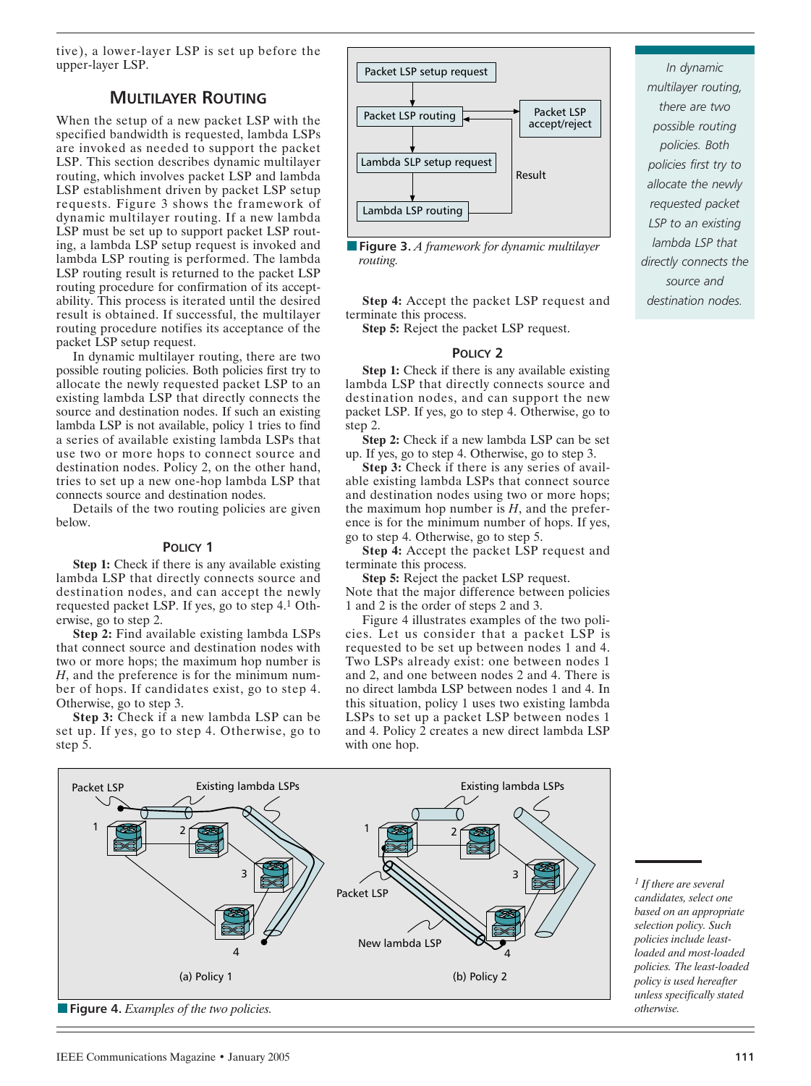tive), a lower-layer LSP is set up before the upper-layer LSP.

# **MULTILAYER ROUTING**

When the setup of a new packet LSP with the specified bandwidth is requested, lambda LSPs are invoked as needed to support the packet LSP. This section describes dynamic multilayer routing, which involves packet LSP and lambda LSP establishment driven by packet LSP setup requests. Figure 3 shows the framework of dynamic multilayer routing. If a new lambda LSP must be set up to support packet LSP routing, a lambda LSP setup request is invoked and lambda LSP routing is performed. The lambda LSP routing result is returned to the packet LSP routing procedure for confirmation of its acceptability. This process is iterated until the desired result is obtained. If successful, the multilayer routing procedure notifies its acceptance of the packet LSP setup request.

In dynamic multilayer routing, there are two possible routing policies. Both policies first try to allocate the newly requested packet LSP to an existing lambda LSP that directly connects the source and destination nodes. If such an existing lambda LSP is not available, policy 1 tries to find a series of available existing lambda LSPs that use two or more hops to connect source and destination nodes. Policy 2, on the other hand, tries to set up a new one-hop lambda LSP that connects source and destination nodes.

Details of the two routing policies are given below.

## **POLICY 1**

**Step 1:** Check if there is any available existing lambda LSP that directly connects source and destination nodes, and can accept the newly requested packet LSP. If yes, go to step 4.1 Otherwise, go to step 2.

**Step 2:** Find available existing lambda LSPs that connect source and destination nodes with two or more hops; the maximum hop number is *H*, and the preference is for the minimum number of hops. If candidates exist, go to step 4. Otherwise, go to step 3.

**Step 3:** Check if a new lambda LSP can be set up. If yes, go to step 4. Otherwise, go to step 5.



■ **Figure 3.** *A framework for dynamic multilayer routing.*

**Step 4:** Accept the packet LSP request and terminate this process.

**Step 5:** Reject the packet LSP request.

#### **POLICY 2**

**Step 1:** Check if there is any available existing lambda LSP that directly connects source and destination nodes, and can support the new packet LSP. If yes, go to step 4. Otherwise, go to step 2.

**Step 2:** Check if a new lambda LSP can be set up. If yes, go to step 4. Otherwise, go to step 3.

**Step 3:** Check if there is any series of available existing lambda LSPs that connect source and destination nodes using two or more hops; the maximum hop number is *H*, and the preference is for the minimum number of hops. If yes, go to step 4. Otherwise, go to step 5.

**Step 4:** Accept the packet LSP request and terminate this process.

**Step 5:** Reject the packet LSP request.

Note that the major difference between policies 1 and 2 is the order of steps 2 and 3.

Figure 4 illustrates examples of the two policies. Let us consider that a packet LSP is requested to be set up between nodes 1 and 4. Two LSPs already exist: one between nodes 1 and 2, and one between nodes 2 and 4. There is no direct lambda LSP between nodes 1 and 4. In this situation, policy 1 uses two existing lambda LSPs to set up a packet LSP between nodes 1 and 4. Policy 2 creates a new direct lambda LSP with one hop.





*In dynamic multilayer routing, there are two possible routing policies. Both policies first try to allocate the newly requested packet LSP to an existing lambda LSP that directly connects the source and destination nodes.*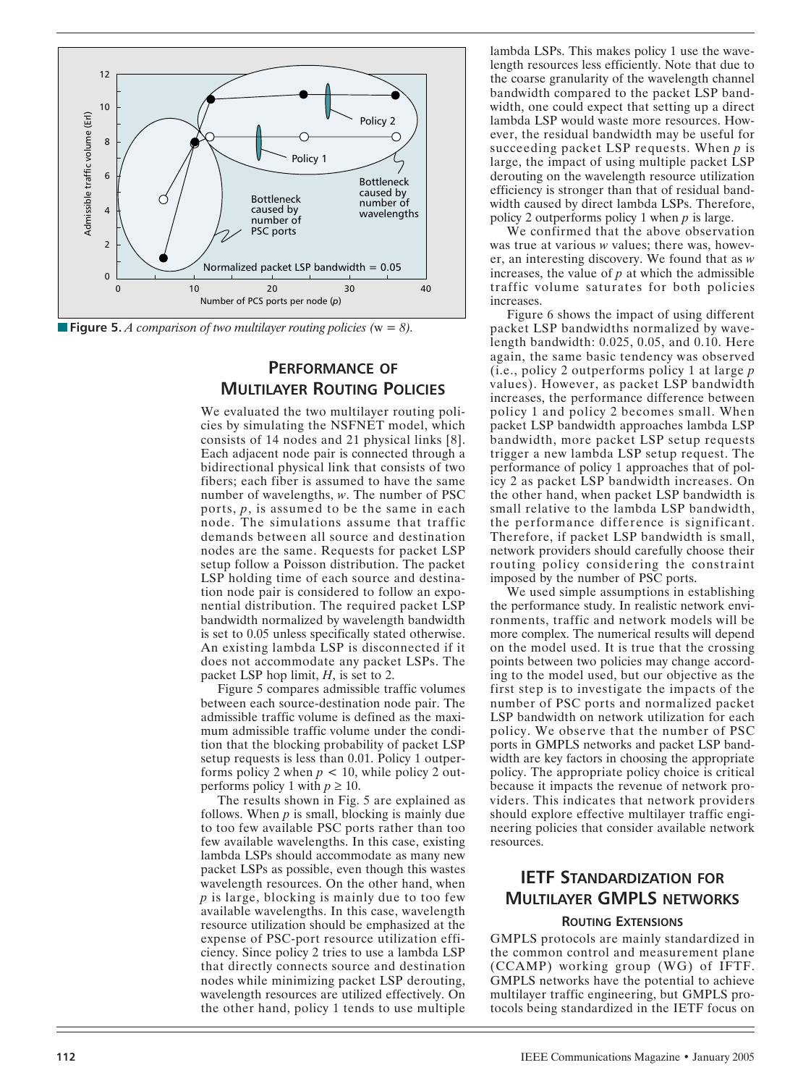

**Figure 5.** *A comparison of two multilayer routing policies (w = 8).* 

# **PERFORMANCE OF MULTILAYER ROUTING POLICIES**

We evaluated the two multilayer routing policies by simulating the NSFNET model, which consists of 14 nodes and 21 physical links [8]. Each adjacent node pair is connected through a bidirectional physical link that consists of two fibers; each fiber is assumed to have the same number of wavelengths, *w*. The number of PSC ports, *p*, is assumed to be the same in each node. The simulations assume that traffic demands between all source and destination nodes are the same. Requests for packet LSP setup follow a Poisson distribution. The packet LSP holding time of each source and destination node pair is considered to follow an exponential distribution. The required packet LSP bandwidth normalized by wavelength bandwidth is set to 0.05 unless specifically stated otherwise. An existing lambda LSP is disconnected if it does not accommodate any packet LSPs. The packet LSP hop limit, *H*, is set to 2.

Figure 5 compares admissible traffic volumes between each source-destination node pair. The admissible traffic volume is defined as the maximum admissible traffic volume under the condition that the blocking probability of packet LSP setup requests is less than 0.01. Policy 1 outperforms policy 2 when  $p < 10$ , while policy 2 outperforms policy 1 with  $p \ge 10$ .

The results shown in Fig. 5 are explained as follows. When  $p$  is small, blocking is mainly due to too few available PSC ports rather than too few available wavelengths. In this case, existing lambda LSPs should accommodate as many new packet LSPs as possible, even though this wastes wavelength resources. On the other hand, when *p* is large, blocking is mainly due to too few available wavelengths. In this case, wavelength resource utilization should be emphasized at the expense of PSC-port resource utilization efficiency. Since policy 2 tries to use a lambda LSP that directly connects source and destination nodes while minimizing packet LSP derouting, wavelength resources are utilized effectively. On the other hand, policy 1 tends to use multiple lambda LSPs. This makes policy 1 use the wavelength resources less efficiently. Note that due to the coarse granularity of the wavelength channel bandwidth compared to the packet LSP bandwidth, one could expect that setting up a direct lambda LSP would waste more resources. However, the residual bandwidth may be useful for succeeding packet LSP requests. When *p* is large, the impact of using multiple packet LSP derouting on the wavelength resource utilization efficiency is stronger than that of residual bandwidth caused by direct lambda LSPs. Therefore, policy 2 outperforms policy 1 when *p* is large.

We confirmed that the above observation was true at various *w* values; there was, however, an interesting discovery. We found that as *w* increases, the value of *p* at which the admissible traffic volume saturates for both policies increases.

Figure 6 shows the impact of using different packet LSP bandwidths normalized by wavelength bandwidth: 0.025, 0.05, and 0.10. Here again, the same basic tendency was observed (i.e., policy 2 outperforms policy 1 at large *p* values). However, as packet LSP bandwidth increases, the performance difference between policy 1 and policy 2 becomes small. When packet LSP bandwidth approaches lambda LSP bandwidth, more packet LSP setup requests trigger a new lambda LSP setup request. The performance of policy 1 approaches that of policy 2 as packet LSP bandwidth increases. On the other hand, when packet LSP bandwidth is small relative to the lambda LSP bandwidth, the performance difference is significant. Therefore, if packet LSP bandwidth is small, network providers should carefully choose their routing policy considering the constraint imposed by the number of PSC ports.

We used simple assumptions in establishing the performance study. In realistic network environments, traffic and network models will be more complex. The numerical results will depend on the model used. It is true that the crossing points between two policies may change according to the model used, but our objective as the first step is to investigate the impacts of the number of PSC ports and normalized packet LSP bandwidth on network utilization for each policy. We observe that the number of PSC ports in GMPLS networks and packet LSP bandwidth are key factors in choosing the appropriate policy. The appropriate policy choice is critical because it impacts the revenue of network providers. This indicates that network providers should explore effective multilayer traffic engineering policies that consider available network resources.

# **IETF STANDARDIZATION FOR MULTILAYER GMPLS NETWORKS**

## **ROUTING EXTENSIONS**

GMPLS protocols are mainly standardized in the common control and measurement plane (CCAMP) working group (WG) of IFTF. GMPLS networks have the potential to achieve multilayer traffic engineering, but GMPLS protocols being standardized in the IETF focus on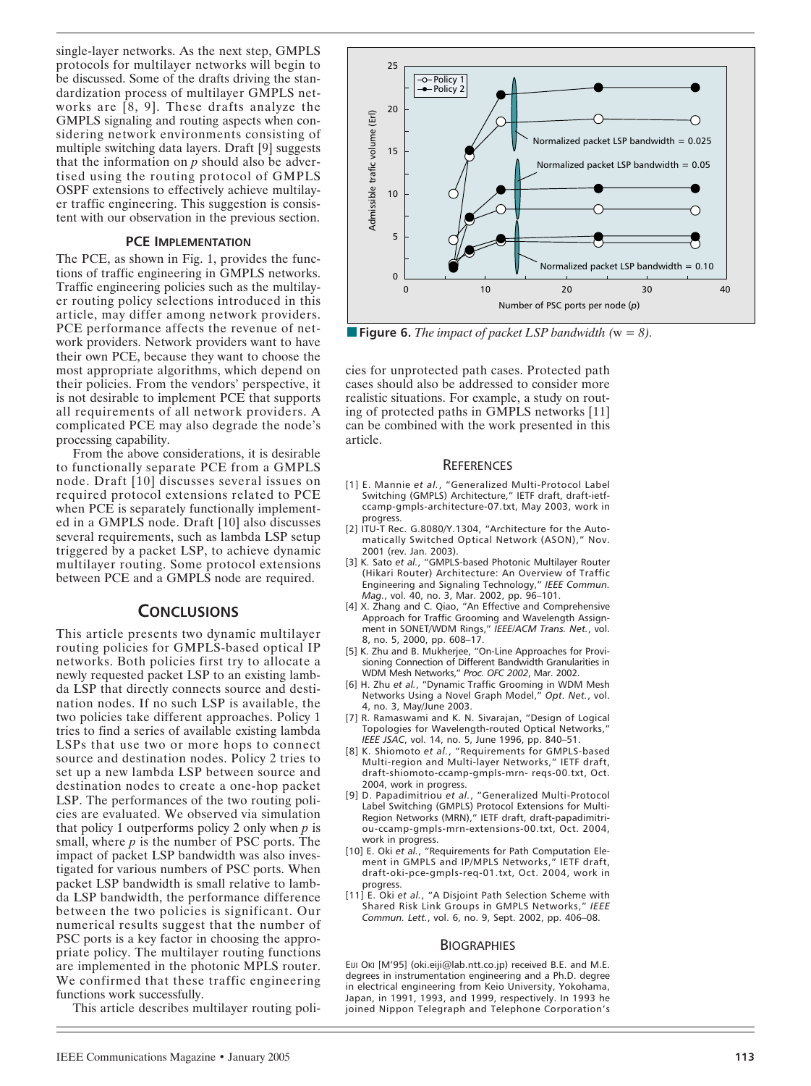single-layer networks. As the next step, GMPLS protocols for multilayer networks will begin to be discussed. Some of the drafts driving the standardization process of multilayer GMPLS networks are [8, 9]. These drafts analyze the GMPLS signaling and routing aspects when considering network environments consisting of multiple switching data layers. Draft [9] suggests that the information on *p* should also be advertised using the routing protocol of GMPLS OSPF extensions to effectively achieve multilayer traffic engineering. This suggestion is consistent with our observation in the previous section.

### **PCE IMPLEMENTATION**

The PCE, as shown in Fig. 1, provides the functions of traffic engineering in GMPLS networks. Traffic engineering policies such as the multilayer routing policy selections introduced in this article, may differ among network providers. PCE performance affects the revenue of network providers. Network providers want to have their own PCE, because they want to choose the most appropriate algorithms, which depend on their policies. From the vendors' perspective, it is not desirable to implement PCE that supports all requirements of all network providers. A complicated PCE may also degrade the node's processing capability.

From the above considerations, it is desirable to functionally separate PCE from a GMPLS node. Draft [10] discusses several issues on required protocol extensions related to PCE when PCE is separately functionally implemented in a GMPLS node. Draft [10] also discusses several requirements, such as lambda LSP setup triggered by a packet LSP, to achieve dynamic multilayer routing. Some protocol extensions between PCE and a GMPLS node are required.

## **CONCLUSIONS**

This article presents two dynamic multilayer routing policies for GMPLS-based optical IP networks. Both policies first try to allocate a newly requested packet LSP to an existing lambda LSP that directly connects source and destination nodes. If no such LSP is available, the two policies take different approaches. Policy 1 tries to find a series of available existing lambda LSPs that use two or more hops to connect source and destination nodes. Policy 2 tries to set up a new lambda LSP between source and destination nodes to create a one-hop packet LSP. The performances of the two routing policies are evaluated. We observed via simulation that policy 1 outperforms policy 2 only when *p* is small, where *p* is the number of PSC ports. The impact of packet LSP bandwidth was also investigated for various numbers of PSC ports. When packet LSP bandwidth is small relative to lambda LSP bandwidth, the performance difference between the two policies is significant. Our numerical results suggest that the number of PSC ports is a key factor in choosing the appropriate policy. The multilayer routing functions are implemented in the photonic MPLS router. We confirmed that these traffic engineering functions work successfully.

This article describes multilayer routing poli-



**Figure 6.** *The impact of packet LSP bandwidth* ( $w = 8$ ).

cies for unprotected path cases. Protected path cases should also be addressed to consider more realistic situations. For example, a study on routing of protected paths in GMPLS networks [11] can be combined with the work presented in this article.

#### **REFERENCES**

- [1] E. Mannie *et al.*, "Generalized Multi-Protocol Label Switching (GMPLS) Architecture," IETF draft, draft-ietfccamp-gmpls-architecture-07.txt, May 2003, work in progress.
- [2] ITU-T Rec. G.8080/Y.1304, "Architecture for the Automatically Switched Optical Network (ASON)," Nov. 2001 (rev. Jan. 2003).
- [3] K. Sato *et al.*, "GMPLS-based Photonic Multilayer Router (Hikari Router) Architecture: An Overview of Traffic Engineering and Signaling Technology," *IEEE Commun. Mag.*, vol. 40, no. 3, Mar. 2002, pp. 96–101.
- [4] X. Zhang and C. Qiao, "An Effective and Comprehensive Approach for Traffic Grooming and Wavelength Assignment in SONET/WDM Rings," *IEEE/ACM Trans. Net.*, vol. 8, no. 5, 2000, pp. 608–17.
- [5] K. Zhu and B. Mukherjee, "On-Line Approaches for Provisioning Connection of Different Bandwidth Granularities in WDM Mesh Networks," *Proc. OFC 2002*, Mar. 2002.
- [6] H. Zhu *et al.*, "Dynamic Traffic Grooming in WDM Mesh Networks Using a Novel Graph Model," *Opt. Net.*, vol. 4, no. 3, May/June 2003.
- [7] R. Ramaswami and K. N. Sivarajan, "Design of Logical Topologies for Wavelength-routed Optical Networks,"
- *IEEE JSAC*, vol. 14, no. 5, June 1996, pp. 840–51. [8] K. Shiomoto *et al.*, "Requirements for GMPLS-based Multi-region and Multi-layer Networks," IETF draft, draft-shiomoto-ccamp-gmpls-mrn- reqs-00.txt, Oct. 2004, work in progress.
- [9] D. Papadimitriou *et al.*, "Generalized Multi-Protocol Label Switching (GMPLS) Protocol Extensions for Multi-Region Networks (MRN)," IETF draft, draft-papadimitriou-ccamp-gmpls-mrn-extensions-00.txt, Oct. 2004, work in progress.
- [10] E. Oki *et al.*, "Requirements for Path Computation Element in GMPLS and IP/MPLS Networks," IETF draft, draft-oki-pce-gmpls-req-01.txt, Oct. 2004, work in progress.
- [11] E. Oki *et al.*, "A Disjoint Path Selection Scheme with Shared Risk Link Groups in GMPLS Networks," *IEEE Commun. Lett.*, vol. 6, no. 9, Sept. 2002, pp. 406–08.

#### **BIOGRAPHIES**

EIJI OKI [M'95] (oki.eiji@lab.ntt.co.jp) received B.E. and M.E. degrees in instrumentation engineering and a Ph.D. degree in electrical engineering from Keio University, Yokohama, Japan, in 1991, 1993, and 1999, respectively. In 1993 he joined Nippon Telegraph and Telephone Corporation's